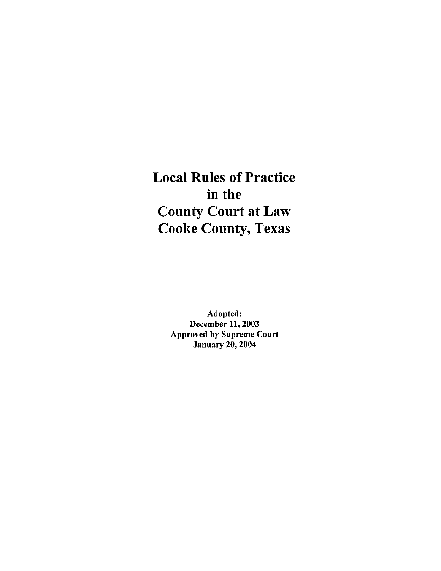Local Rules of Practice in the County Court at Law Cooke County, Texas

> Adopted: December 11,2003 Approved by Supreme Court January 20, 2004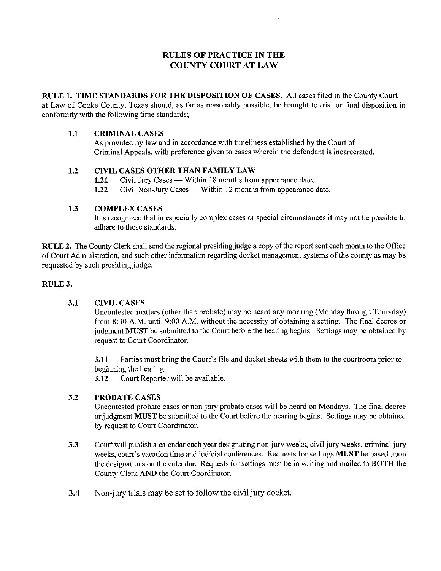## RULES OF PRACTICE IN THE COUNTY COURT AT LAW

RULE 1. TIME STANDARDS FOR THE DISPOSITION OF CASES. All cases filed in the County Court at Law of Cooke County, Texas should, as far as reasonably possible, be brought to trial or final disposition in conformity with the following time standards;

#### 1.1 CRIMINAL CASES

As provided by law and in accordance with timeliness established by the Court of Criminal Appeals, with preference given to cases wherein the defendant is incarcerated.

### 1.2 CIVIL CASES OTHER THAN FAMILY LAW

- 1.21 Civil Jury Cases Within <sup>18</sup> months from appearance date.
- 1.22 Civil Non-Jury Cases Within 12 months from appearance date.

#### 1.3 COMPLEX CASES

It is recognized that in especially complex cases or special circumstances it may not be possible to adhere to these standards.

RULE 2. The County Clerk shall send the regional presiding judge a copy of the report sent each month to the Office of Court Administration, and such other information regarding docket management systems of the county as may be requested by such presiding judge.

#### RULE 3.

#### 3.1 CIVIL CASES

Uncontested matters (other than probate) may be heard any morning (Monday through Thursday) from 8:30 A.M. until 9:00 A.M. without the necessity of obtaining <sup>a</sup> setting. The final decree or judgment MUST be submitted to the Court before the hearing begins. Settings may be obtained by request to Court Coordinator.

3.11 Parties must bring the Court's file and docket sheets with them to the courtroom prior to beginning the hearing.

3.12 Court Reporter will be available.

### 3.2 PROBATE CASES

Uncontested probate cases or non-jury probate cases will be heard on Mondays. The final decree or judgment MUST be submitted to the Court before the hearing begins. Settings may be obtained by request to Court Coordinator.

- 3.3 Court will publish <sup>a</sup> calendar each year designating non-jury weeks, civil jury weeks, criminal jury weeks, court's vacation time and judicial conferences. Requests for settings MUST be based upon the designations on the calendar. Requests for settings must be in writing and mailed to BOTH the County Clerk AND the Court Coordinator.
- 3.4 Non-jury trials may be set to follow the civil jury docket.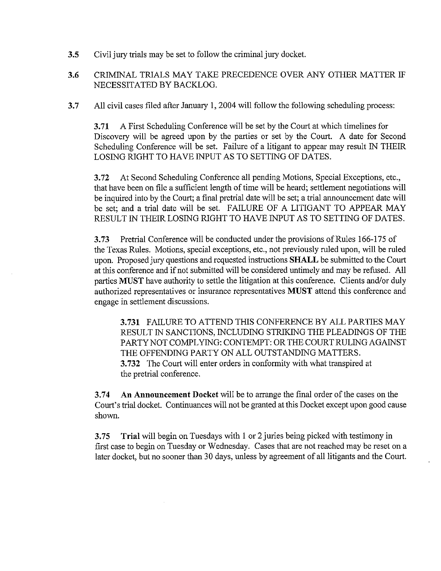3.5 Civil jury trials may be set to follow the criminal jury docket.

# 3.6 CRIMINAL TRIALS MAY TAKE PRECEDENCE OVER ANY OTHER MATTER IF NECESSITATED BY BACKLOG.

3.7 All civil cases filed after January 1, 2004 will follow the following scheduling process:

3.71 A First Scheduling Conference will be set by the Court at which timelines for Discovery will be agreed upon by the parties or set by the Court. A date for Second Scheduling Conference will be set. Failure of a litigant to appear may result IN THEIR LOSING RIGHT TO HAVE INPUT AS TO SETTING OF DATES.

3.72 At Second Scheduling Conference all pending Motions, Special Exceptions, etc., that have been on file a sufficient length of time will be heard; settlement negotiations will be inquired into by the Court; <sup>a</sup> final pretrial date will be set; <sup>a</sup> trial announcement date will be set; and <sup>a</sup> trial date will be set. FAILURE OF A LITIGANT TO APPEAR MAY RESULT IN THEIR LOSING RIGHT TO HAVE INPUT AS TO SETTING OF DATES.

3.73 Pretrial Conference will be conducted under the provisions of Rules 166-175 of the Texas Rules. Motions, special exceptions, etc., not previously ruled upon, will be ruled upon. Proposed jury questions and requested instructions SHALL be submitted to the Court at this conference and if not submitted will be considered untimely and may be refused. All parties MUST have authority to settle the litigation at this conference. Clients and/or duly authorized representatives or insurance representatives MUST attend this conference and engage in settlement discussions.

3.731 FAILURE TO ATTEND THIS CONFERENCE BY ALL PARTIES MAY RESULT IN SANCTIONS, INCLUDING STRIKING THE PLEADINGS OF THE PARTY NOT COMPLYING: CONTEMPT: OR THE COURT RULING AGAINST THE OFFENDING PARTY ON ALL OUTSTANDING MATTERS. 3.732 The Court will enter orders in conformity with what transpired at the pretrial conference.

3.74 An Announcement Docket will be to arrange the final order of the cases on the Court's trial docket. Continuances will not be granted at this Docket except upon good cause shown.

3.75 Trial will begin on Tuesdays with <sup>1</sup> or <sup>2</sup> juries being picked with testimony in first case to begin on Tuesday or Wednesday. Cases that are not reached may be reset on a later docket, but no sooner than 30 days, unless by agreement of all litigants and the Court.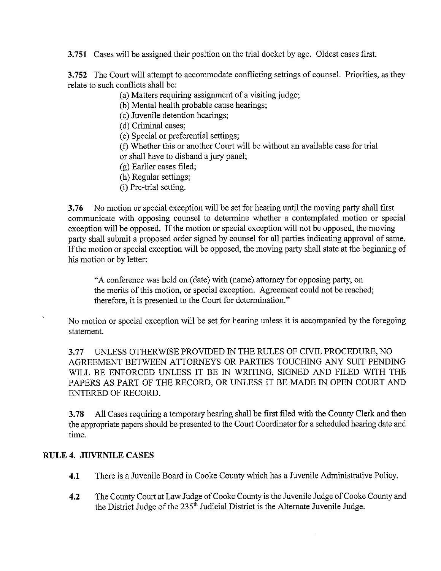3.751 Cases will be assigned their position on the trial docket by age. Oldest cases first.

3.752 The Court will attempt to accommodate conflicting settings of counsel. Priorities, as they relate to such conflicts shall be:

(a) Matters requiring assignment of a visiting judge;

(b) Mental health probable cause hearings;

(c) Juvenile detention hearings;

(d) Criminal cases;

(e) Special or preferential settings;

(f) Whether this or another Court will be without an available case for trial or shall have to disband <sup>a</sup> jury panel;

(g) Earlier cases filed;

(h) Regular settings;

(i) Pre-trial setting.

3.76 No motion or special exception will be set for hearing until the moving party shall first communicate with opposing counsel to determine whether a contemplated motion or special exception will be opposed. If the motion or special exception will not be opposed, the moving party shall submit a proposed order signed by counsel for all parties indicating approval of same. If the motion or special exception will be opposed, the moving party shall state at the beginning of his motion or by letter:

"A conference was held on (date) with (name) attorney for opposing party, on the merits of this motion, or special exception. Agreement could not be reached; therefore, it is presented to the Court for determination."

No motion or special exception will be set for hearing unless it is accompanied by the foregoing statement.

3.77 UNLESS OTHERWISE PROVIDED IN THE RULES OF CIVIL PROCEDURE, NO AGREEMENT BETWEEN ATTORNEYS OR PARTIES TOUCHING ANY SUIT PENDING WILL BE ENFORCED UNLESS IT BE IN WRITING, SIGNED AND FILED WITH THE PAPERS AS PART OF THE RECORD, OR UNLESS IT BE MADE IN OPEN COURT AND ENTERED OF RECORD.

3.78 All Cases requiring a temporary hearing shall be first filed with the County Clerk and then the appropriate papers should be presented to the Court Coordinator for a scheduled hearing date and time.

# RULE 4. JUVENILE CASES

- 4.1 There is a Juvenile Board in Cooke County which has a Juvenile Administrative Policy.
- 4.2 The County Court at Law Judge of Cooke County is the Juvenile Judge of Cooke County and the District Judge of the  $235<sup>th</sup>$  Judicial District is the Alternate Juvenile Judge.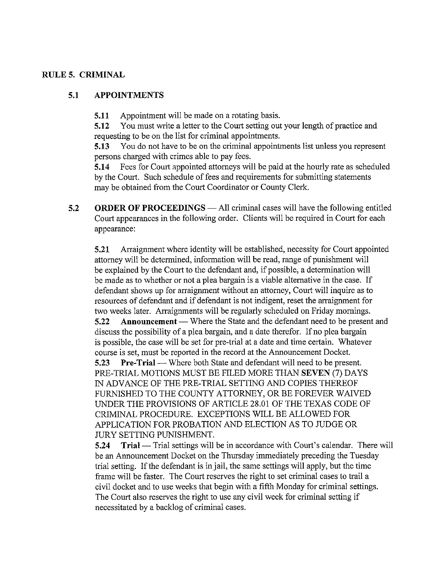## RULES. CRIMINAL

# 5.1 APPOINTMENTS

5.11 Appointment will be made on <sup>a</sup> rotating basis.

5.12 You must write <sup>a</sup> letter to the Court setting out your length of practice and requesting to be on the list for criminal appointments.

5.13 You do not have to be on the criminal appointments list unless you represent persons charged with crimes able to pay fees.

5.14 Fees for Court appointed attorneys will be paid at the hourly rate as scheduled by the Court. Such schedule of fees and requirements for submitting statements may be obtained from the Court Coordinator or County Clerk.

5.2 ORDER OF PROCEEDINGS — All criminal cases will have the following entitled Court appearances in the following order. Clients will be required in Court for each appearance:

5.21 Arraignment where identity will be established, necessity for Court appointed attorney will be determined, information will be read, range of punishment will be explained by the Court to the defendant and, if possible, <sup>a</sup> determination will be made as to whether or not <sup>a</sup> plea bargain is <sup>a</sup> viable alternative in the case. If defendant shows up for arraignment without an attorney, Court will inquire as to resources of defendant and if defendant is not indigent, reset the arraignment for two weeks later. Arraignments will be regularly scheduled on Friday mornings. 5.22 Announcement — Where the State and the defendant need to be present and discuss the possibility of <sup>a</sup> plea bargain, and <sup>a</sup> date therefor. If no plea bargain is possible, the case will be set for pre-trial at <sup>a</sup> date and time certain. Whatever course is set, must be reported in the record at the Announcement Docket.

5.23 Pre-Trial — Where both State and defendant will need to be present. PRE-TRIAL MOTIONS MUST BE FILED MORE THAN SEVEN (7) DAYS IN ADVANCE OF THE PRE-TRIAL SETTING AND COPIES THEREOF FURNISHED TO THE COUNTY ATTORNEY, OR BE FOREVER WAIVED UNDER THE PROVISIONS OF ARTICLE 28.01 OF THE TEXAS CODE OF CRIMINAL PROCEDURE. EXCEPTIONS WILL BE ALLOWED FOR APPLICATION FOR PROBATION AND ELECTION AS TO JUDGE OR JURY SETTING PUNISHMENT.

5.24 Trial — Trial settings will be in accordance with Court's calendar. There will be an Announcement Docket on the Thursday immediately preceding the Tuesday trial setting. If the defendant is in jail, the same settings will apply, but the time frame will be faster. The Court reserves the right to set criminal cases to trail a civil docket and to use weeks that begin with <sup>a</sup> fifth Monday for criminal settings. The Court also reserves the right to use any civil week for criminal setting if necessitated by <sup>a</sup> backlog of criminal cases.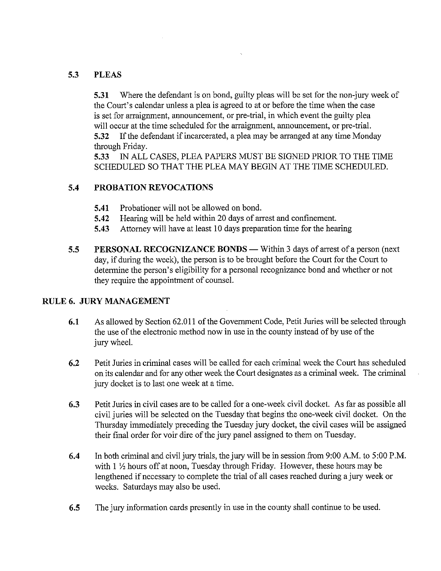# 5.3 PLEAS

5.31 Where the defendant is on bond, guilty pleas will be set for the non-jury week of the Court's calendar unless a plea is agreed to at or before the time when the case is set for arraignment, announcement, or pre-trial, in which event the guilty plea will occur at the time scheduled for the arraignment, announcement, or pre-trial. 5.32 Ifthe defendant if incarcerated, <sup>a</sup> plea may be arranged at any time Monday through Friday.

5.33 IN ALL CASES, PLEA PAPERS MUST BE SIGNED PRIOR TO THE TIME SCHEDULED SO THAT THE PLEA MAY BEGIN AT THE TIME SCHEDULED.

# 5.4 PROBATION REVOCATIONS

- 5.41 Probationer will not be allowed on bond.
- 5.42 Hearing will be held within 20 days of arrest and confinement.
- 5.43 Attorney will have at least <sup>10</sup> days preparation time for the hearing
- 5.5 PERSONAL RECOGNiZANCE BONDS Within <sup>3</sup> days of arrest of <sup>a</sup> person (next day, if during the week), the person is to be brought before the Court for the Court to determine the person's eligibility for a personal recognizance bond and whether or not they require the appointment of counsel.

# RULE 6. JURY MANAGEMENT

- 6.1 As allowed by Section 62.011 of the Government Code, Petit Juries will be selected through the use of the electronic method now in use in the county instead of by use of the jury wheel.
- 6.2 Petit Juries in criminal cases will be called for each criminal week the Court has scheduled on its calendar and for any other week the Court designates as a criminal week. The criminal jury docket is to last one week at <sup>a</sup> time.
- 6.3 Petit Juries in civil cases are to be called for <sup>a</sup> one-week civil docket. As far as possible all civil juries will be selected on the Tuesday that begins the one-week civil docket. On the Thursday immediately preceding the Tuesday jury docket, the civil cases will be assigned their final order for voir dire of the jury panel assigned to them on Tuesday.
- 6.4 In both criminal and civil jury trials, the jury will be in session from 9:00 A.M. to 5:00 P.M. with  $1 \frac{1}{2}$  hours off at noon, Tuesday through Friday. However, these hours may be lengthened if necessary to complete the trial of all cases reached during <sup>a</sup> jury week or weeks. Saturdays may also be used.
- 6.5 The jury information cards presently in use in the county shall continue to be used.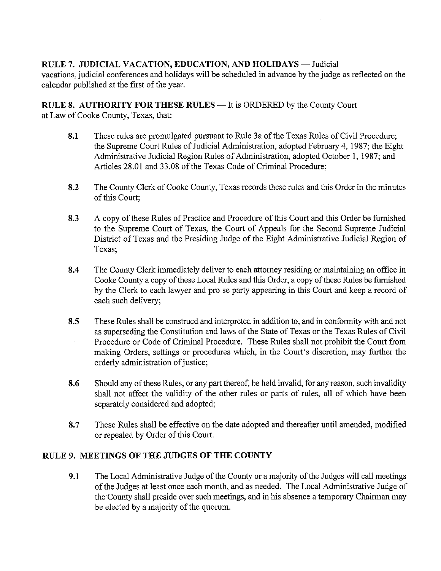RULE 7. JUDICIAL VACATION, EDUCATION, AND HOLIDAYS — Judicial vacations, judicial conferences and holidays will be scheduled in advance by the judge as reflected on the calendar published at the first of the year.

RULE 8. AUTHORITY FOR THESE RULES — It is ORDERED by the County Court at Law of Cooke County, Texas, that:

- 8.1 These rules are promulgated pursuant to Rule 3a of the Texas Rules of Civil Procedure; the Supreme Court Rules of Judicial Administration, adopted February 4, 1987; the Eight Administrative Judicial Region Rules of Administration, adopted October 1, 1987; and Articles 28.01 and 33.08 of the Texas Code of Criminal Procedure;
- 8.2 The County Clerk of Cooke County, Texas records these rules and this Order in the minutes of this Court;
- 8.3 A copy of these Rules of Practice and Procedure of this Court and this Order be furnished to the Supreme Court of Texas, the Court of Appeals for the Second Supreme Judicial District of Texas and the Presiding Judge of the Eight Administrative Judicial Region of Texas;
- 8.4 The County Clerk immediately deliver to each attorney residing or maintaining an office in Cooke County a copy of these Local Rules and this Order, a copy of these Rules be furnished by the Clerk to each lawyer and pro se party appearing in this Court and keep <sup>a</sup> record of each such delivery;
- 8.5 These Rules shall be construed and interpreted in addition to, and in conformity with and not as superseding the Constitution and laws of the State of Texas or the Texas Rules of Civil Procedure or Code of Criminal Procedure. These Rules shall not prohibit the Court from making Orders, settings or procedures which, in the Court's discretion, may further the orderly administration of justice;
- 8.6 Should any of these Rules, or any part thereof, be held invalid, for any reason, such invalidity shall not affect the validity of the other rules or parts of rules, all of which have been separately considered and adopted;
- 8.7 These Rules shall be effective on the date adopted and thereafter until amended, modified or repealed by Order of this Court.

# RULE 9. MEETINGS OF THE JUDGES OF THE COUNTY

9.1 The Local Administrative Judge of the County or a majority of the Judges will call meetings of the Judges at least once each month, and as needed. The Local Administrative Judge of the County shall preside over such meetings, and in his absence a temporary Chairman may be elected by a majority of the quorum.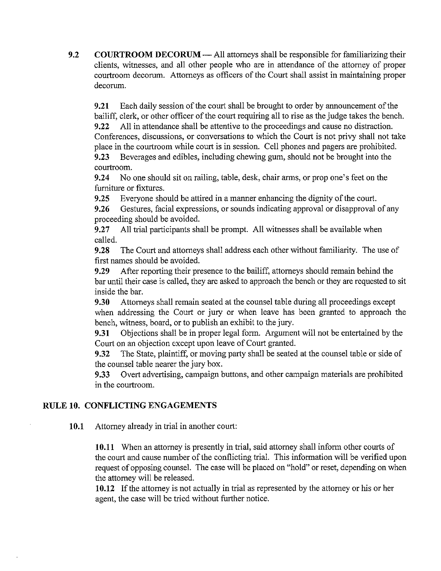9.2 COURTROOM DECORUM — All attorneys shall be responsible for familiarizing their clients, witnesses, and all other people who are in attendance of the attorney of proper courtroom decorum. Attorneys as officers of the Court shall assist in maintaining proper decorum.

9.21 Each daily session of the court shall be brought to order by announcement of the bailiff, clerk, or other officer of the court requiring all to rise as the judge takes the bench. 9.22 All in attendance shall be attentive to the proceedings and cause no distraction. Conferences, discussions, or conversations to which the Court is not privy shall not take place in the courtroom while court is in session. Cell phones and pagers are prohibited. 9.23 Beverages and edibles, including chewing gum, should not be brought into the courtroom.

9.24 No one should sit on railing, table, desk, chair arms, or prop one's feet on the furniture or fixtures.

9.25 Everyone should be attired in a manner enhancing the dignity of the court.

9.26 Gestures, facial expressions, or sounds indicating approval or disapproval of any proceeding should be avoided.

9.27 All trial participants shall be prompt. All witnesses shall be available when called.

9.28 The Court and attorneys shall address each other without familiarity. The use of first names should be avoided.

9.29 After reporting their presence to the bailiff, attorneys should remain behind the bar until their case is called, they are asked to approach the bench or they are requested to sit inside the bar.

9.30 Attorneys shall remain seated at the counsel table during all proceedings except when addressing the Court or jury or when leave has been granted to approach the bench, witness, board, or to publish an exhibit to the jury.

9.31 Objections shall be in proper legal form. Argument will not be entertained by the Court on an objection except upon leave of Court granted.

9.32 The State, plaintiff, or moving party shall be seated at the counsel table or side of the counsel table nearer the jury box.

9.33 Overt advertising, campaign buttons, and other campaign materials are prohibited in the courtroom.

# RULE 10. CONFLICTING ENGAGEMENTS

10.1 Attorney already in trial in another court:

10.11 When an attorney is presently in trial, said attorney shall inform other courts of the court and cause number of the conflicting trial. This information will be verified upon request of opposing counsel. The case will be placed on "hold" or reset, depending on when the attorney will be released.

10.12 If the attorney is not actually in trial as represented by the attorney or his or her agent, the case will be tried without further notice.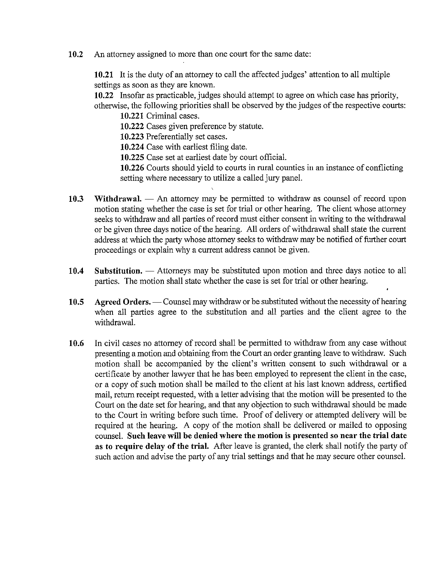10.2 An attorney assigned to more than one court for the same date:

10.21 It is the duty of an attorney to call the affected judges' aftention to all multiple settings as soon as they are known.

10.22 Insofar as practicable, judges should attempt to agree on which case has priority, otherwise, the following priorities shall be observed by the judges of the respective courts: 10.221 Criminal cases.

10.222 Cases given preference by statute.

10.223 Preferentially set cases.

10.224 Case with earliest filing date.

10.225 Case set at earliest date by court official.

10.226 Courts should yield to courts in rural counties in an instance of conflicting setting where necessary to utilize a called jury panel.

- 10.3 Withdrawal. An attorney may be permitted to withdraw as counsel of record upon motion stating whether the case is set for trial or other hearing. The client whose attorney seeks to withdraw and all parties of record must either consent in writing to the withdrawal or be given three days notice of the hearing. All orders of withdrawal shall state the current address at which the party whose attorney seeks to withdraw may be notified of further court proceedings or explain why a current address cannot be given.
- 10.4 Substitution. Attorneys may be substituted upon motion and three days notice to all parties. The motion shall state whether the case is set for trial or other hearing.
- 10.5 Agreed Orders. Counsel may withdraw or be substituted without the necessity of hearing when all parties agree to the substitution and all parties and the client agree to the withdrawal.
- 10.6 In civil cases no attorney of record shall be permitted to withdraw from any case without presenting a motion and obtaining from the Court an order granting leave to withdraw. Such motion shall be accompanied by the client's written consent to such withdrawal or a certificate by another lawyer that he has been employed to represent the client in the case, or a copy of such motion shall be mailed to the client at his last known address, certified mail, return receipt requested, with <sup>a</sup> letter advising that the motion will be presented to the Court on the date set for hearing, and that any objection to such withdrawal should be made to the Court in writing before such time. Proof of delivery or attempted delivery will be required at the hearing. A copy of the motion shall be delivered or mailed to opposing counsel. Such leave will be denied where the motion is presented so near the trial date as to require delay of the trial. After leave is granted, the clerk shall notify the party of such action and advise the party of any trial settings and that he may secure other counsel.